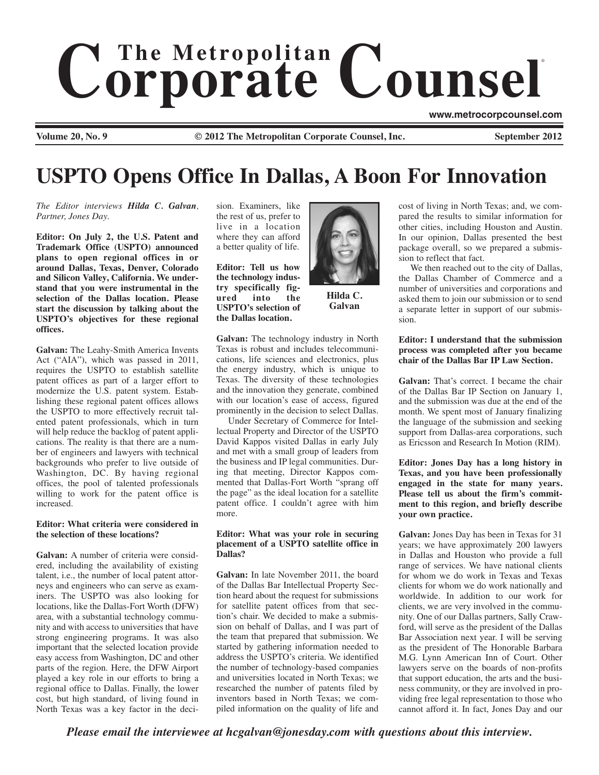# $$ ®

**Volume 20, No. 9 6 COLLA COLLA COLLA COLLA COLLA COLLA COUNSEL SEPTEMBER 2012** 

**www.metrocorpcounsel.com**

# **USPTO Opens Office In Dallas, A Boon For Innovation**

*The Editor interviews Hilda C. Galvan, Partner, Jones Day.*

**Editor: On July 2, the U.S. Patent and Trademark Office (USPTO) announced plans to open regional offices in or around Dallas, Texas, Denver, Colorado and Silicon Valley, California. We understand that you were instrumental in the selection of the Dallas location. Please start the discussion by talking about the USPTO's objectives for these regional offices.**

**Galvan:** The Leahy-Smith America Invents Act ("AIA"), which was passed in 2011, requires the USPTO to establish satellite patent offices as part of a larger effort to modernize the U.S. patent system. Establishing these regional patent offices allows the USPTO to more effectively recruit talented patent professionals, which in turn will help reduce the backlog of patent applications. The reality is that there are a number of engineers and lawyers with technical backgrounds who prefer to live outside of Washington, DC. By having regional offices, the pool of talented professionals willing to work for the patent office is increased.

#### **Editor: What criteria were considered in the selection of these locations?**

**Galvan:** A number of criteria were considered, including the availability of existing talent, i.e., the number of local patent attorneys and engineers who can serve as examiners. The USPTO was also looking for locations, like the Dallas-Fort Worth (DFW) area, with a substantial technology community and with access to universities that have strong engineering programs. It was also important that the selected location provide easy access from Washington, DC and other parts of the region. Here, the DFW Airport played a key role in our efforts to bring a regional office to Dallas. Finally, the lower cost, but high standard, of living found in North Texas was a key factor in the decision. Examiners, like the rest of us, prefer to live in a location where they can afford a better quality of life.

**Editor: Tell us how the technology industry specifically figured into the USPTO's selection of the Dallas location.** 



**Hilda C. Galvan**

**Galvan:** The technology industry in North Texas is robust and includes telecommunications, life sciences and electronics, plus the energy industry, which is unique to Texas. The diversity of these technologies and the innovation they generate, combined with our location's ease of access, figured prominently in the decision to select Dallas.

Under Secretary of Commerce for Intellectual Property and Director of the USPTO David Kappos visited Dallas in early July and met with a small group of leaders from the business and IP legal communities. During that meeting, Director Kappos commented that Dallas-Fort Worth "sprang off the page" as the ideal location for a satellite patent office. I couldn't agree with him more.

#### **Editor: What was your role in securing placement of a USPTO satellite office in Dallas?**

**Galvan:** In late November 2011, the board of the Dallas Bar Intellectual Property Section heard about the request for submissions for satellite patent offices from that section's chair. We decided to make a submission on behalf of Dallas, and I was part of the team that prepared that submission. We started by gathering information needed to address the USPTO's criteria. We identified the number of technology-based companies and universities located in North Texas; we researched the number of patents filed by inventors based in North Texas; we compiled information on the quality of life and cost of living in North Texas; and, we compared the results to similar information for other cities, including Houston and Austin. In our opinion, Dallas presented the best package overall, so we prepared a submission to reflect that fact.

We then reached out to the city of Dallas, the Dallas Chamber of Commerce and a number of universities and corporations and asked them to join our submission or to send a separate letter in support of our submission.

#### **Editor: I understand that the submission process was completed after you became chair of the Dallas Bar IP Law Section.**

**Galvan:** That's correct. I became the chair of the Dallas Bar IP Section on January 1, and the submission was due at the end of the month. We spent most of January finalizing the language of the submission and seeking support from Dallas-area corporations, such as Ericsson and Research In Motion (RIM).

**Editor: Jones Day has a long history in Texas, and you have been professionally engaged in the state for many years. Please tell us about the firm's commitment to this region, and briefly describe your own practice.**

**Galvan:** Jones Day has been in Texas for 31 years; we have approximately 200 lawyers in Dallas and Houston who provide a full range of services. We have national clients for whom we do work in Texas and Texas clients for whom we do work nationally and worldwide. In addition to our work for clients, we are very involved in the community. One of our Dallas partners, Sally Crawford, will serve as the president of the Dallas Bar Association next year. I will be serving as the president of The Honorable Barbara M.G. Lynn American Inn of Court. Other lawyers serve on the boards of non-profits that support education, the arts and the business community, or they are involved in providing free legal representation to those who cannot afford it. In fact, Jones Day and our

*Please email the interviewee at hcgalvan@jonesday.com with questions about this interview.*